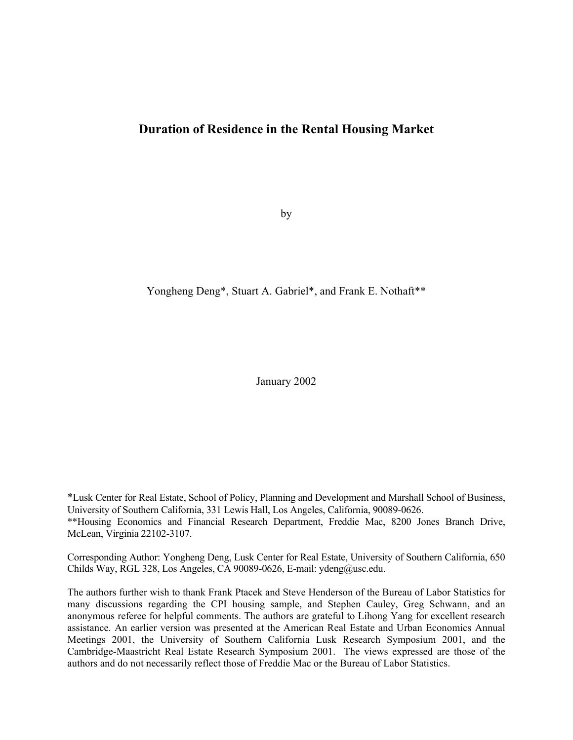# **Duration of Residence in the Rental Housing Market**

by

## Yongheng Deng\*, Stuart A. Gabriel\*, and Frank E. Nothaft\*\*

January 2002

\*Lusk Center for Real Estate, School of Policy, Planning and Development and Marshall School of Business, University of Southern California, 331 Lewis Hall, Los Angeles, California, 90089-0626. \*\*Housing Economics and Financial Research Department, Freddie Mac, 8200 Jones Branch Drive, McLean, Virginia 22102-3107.

Corresponding Author: Yongheng Deng, Lusk Center for Real Estate, University of Southern California, 650 Childs Way, RGL 328, Los Angeles, CA 90089-0626, E-mail: ydeng@usc.edu.

The authors further wish to thank Frank Ptacek and Steve Henderson of the Bureau of Labor Statistics for many discussions regarding the CPI housing sample, and Stephen Cauley, Greg Schwann, and an anonymous referee for helpful comments. The authors are grateful to Lihong Yang for excellent research assistance. An earlier version was presented at the American Real Estate and Urban Economics Annual Meetings 2001, the University of Southern California Lusk Research Symposium 2001, and the Cambridge-Maastricht Real Estate Research Symposium 2001. The views expressed are those of the authors and do not necessarily reflect those of Freddie Mac or the Bureau of Labor Statistics.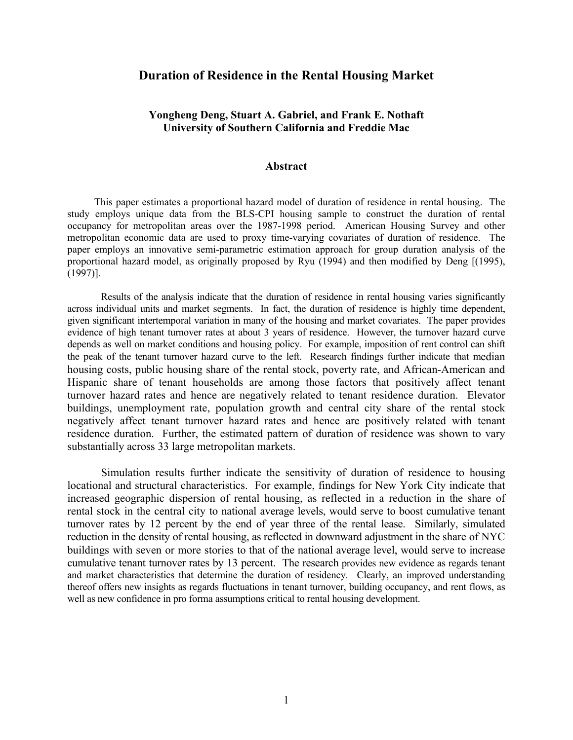## **Duration of Residence in the Rental Housing Market**

## **Yongheng Deng, Stuart A. Gabriel, and Frank E. Nothaft University of Southern California and Freddie Mac**

## **Abstract**

This paper estimates a proportional hazard model of duration of residence in rental housing. The study employs unique data from the BLS-CPI housing sample to construct the duration of rental occupancy for metropolitan areas over the 1987-1998 period. American Housing Survey and other metropolitan economic data are used to proxy time-varying covariates of duration of residence. The paper employs an innovative semi-parametric estimation approach for group duration analysis of the proportional hazard model, as originally proposed by Ryu (1994) and then modified by Deng [(1995), (1997)].

Results of the analysis indicate that the duration of residence in rental housing varies significantly across individual units and market segments. In fact, the duration of residence is highly time dependent, given significant intertemporal variation in many of the housing and market covariates. The paper provides evidence of high tenant turnover rates at about 3 years of residence. However, the turnover hazard curve depends as well on market conditions and housing policy. For example, imposition of rent control can shift the peak of the tenant turnover hazard curve to the left. Research findings further indicate that median housing costs, public housing share of the rental stock, poverty rate, and African-American and Hispanic share of tenant households are among those factors that positively affect tenant turnover hazard rates and hence are negatively related to tenant residence duration. Elevator buildings, unemployment rate, population growth and central city share of the rental stock negatively affect tenant turnover hazard rates and hence are positively related with tenant residence duration. Further, the estimated pattern of duration of residence was shown to vary substantially across 33 large metropolitan markets.

Simulation results further indicate the sensitivity of duration of residence to housing locational and structural characteristics. For example, findings for New York City indicate that increased geographic dispersion of rental housing, as reflected in a reduction in the share of rental stock in the central city to national average levels, would serve to boost cumulative tenant turnover rates by 12 percent by the end of year three of the rental lease. Similarly, simulated reduction in the density of rental housing, as reflected in downward adjustment in the share of NYC buildings with seven or more stories to that of the national average level, would serve to increase cumulative tenant turnover rates by 13 percent. The research provides new evidence as regards tenant and market characteristics that determine the duration of residency. Clearly, an improved understanding thereof offers new insights as regards fluctuations in tenant turnover, building occupancy, and rent flows, as well as new confidence in pro forma assumptions critical to rental housing development.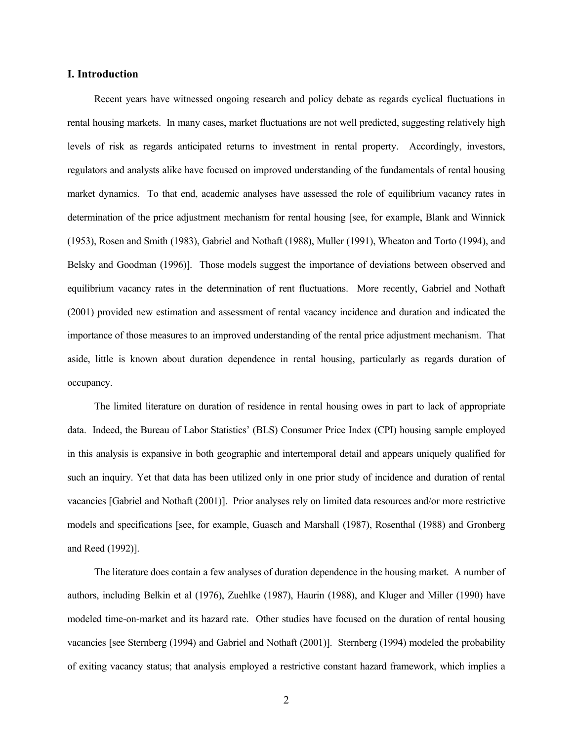## **I. Introduction**

Recent years have witnessed ongoing research and policy debate as regards cyclical fluctuations in rental housing markets. In many cases, market fluctuations are not well predicted, suggesting relatively high levels of risk as regards anticipated returns to investment in rental property. Accordingly, investors, regulators and analysts alike have focused on improved understanding of the fundamentals of rental housing market dynamics. To that end, academic analyses have assessed the role of equilibrium vacancy rates in determination of the price adjustment mechanism for rental housing [see, for example, Blank and Winnick (1953), Rosen and Smith (1983), Gabriel and Nothaft (1988), Muller (1991), Wheaton and Torto (1994), and Belsky and Goodman (1996)]. Those models suggest the importance of deviations between observed and equilibrium vacancy rates in the determination of rent fluctuations. More recently, Gabriel and Nothaft (2001) provided new estimation and assessment of rental vacancy incidence and duration and indicated the importance of those measures to an improved understanding of the rental price adjustment mechanism. That aside, little is known about duration dependence in rental housing, particularly as regards duration of occupancy.

The limited literature on duration of residence in rental housing owes in part to lack of appropriate data. Indeed, the Bureau of Labor Statistics' (BLS) Consumer Price Index (CPI) housing sample employed in this analysis is expansive in both geographic and intertemporal detail and appears uniquely qualified for such an inquiry. Yet that data has been utilized only in one prior study of incidence and duration of rental vacancies [Gabriel and Nothaft (2001)]. Prior analyses rely on limited data resources and/or more restrictive models and specifications [see, for example, Guasch and Marshall (1987), Rosenthal (1988) and Gronberg and Reed (1992)].

The literature does contain a few analyses of duration dependence in the housing market. A number of authors, including Belkin et al (1976), Zuehlke (1987), Haurin (1988), and Kluger and Miller (1990) have modeled time-on-market and its hazard rate. Other studies have focused on the duration of rental housing vacancies [see Sternberg (1994) and Gabriel and Nothaft (2001)]. Sternberg (1994) modeled the probability of exiting vacancy status; that analysis employed a restrictive constant hazard framework, which implies a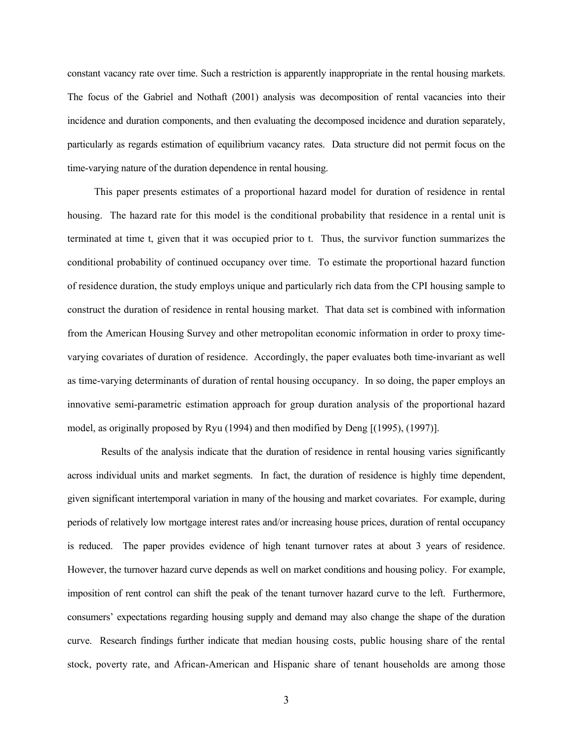constant vacancy rate over time. Such a restriction is apparently inappropriate in the rental housing markets. The focus of the Gabriel and Nothaft (2001) analysis was decomposition of rental vacancies into their incidence and duration components, and then evaluating the decomposed incidence and duration separately, particularly as regards estimation of equilibrium vacancy rates. Data structure did not permit focus on the time-varying nature of the duration dependence in rental housing.

This paper presents estimates of a proportional hazard model for duration of residence in rental housing. The hazard rate for this model is the conditional probability that residence in a rental unit is terminated at time t, given that it was occupied prior to t. Thus, the survivor function summarizes the conditional probability of continued occupancy over time. To estimate the proportional hazard function of residence duration, the study employs unique and particularly rich data from the CPI housing sample to construct the duration of residence in rental housing market. That data set is combined with information from the American Housing Survey and other metropolitan economic information in order to proxy timevarying covariates of duration of residence. Accordingly, the paper evaluates both time-invariant as well as time-varying determinants of duration of rental housing occupancy. In so doing, the paper employs an innovative semi-parametric estimation approach for group duration analysis of the proportional hazard model, as originally proposed by Ryu (1994) and then modified by Deng [(1995), (1997)].

Results of the analysis indicate that the duration of residence in rental housing varies significantly across individual units and market segments. In fact, the duration of residence is highly time dependent, given significant intertemporal variation in many of the housing and market covariates. For example, during periods of relatively low mortgage interest rates and/or increasing house prices, duration of rental occupancy is reduced. The paper provides evidence of high tenant turnover rates at about 3 years of residence. However, the turnover hazard curve depends as well on market conditions and housing policy. For example, imposition of rent control can shift the peak of the tenant turnover hazard curve to the left. Furthermore, consumers' expectations regarding housing supply and demand may also change the shape of the duration curve. Research findings further indicate that median housing costs, public housing share of the rental stock, poverty rate, and African-American and Hispanic share of tenant households are among those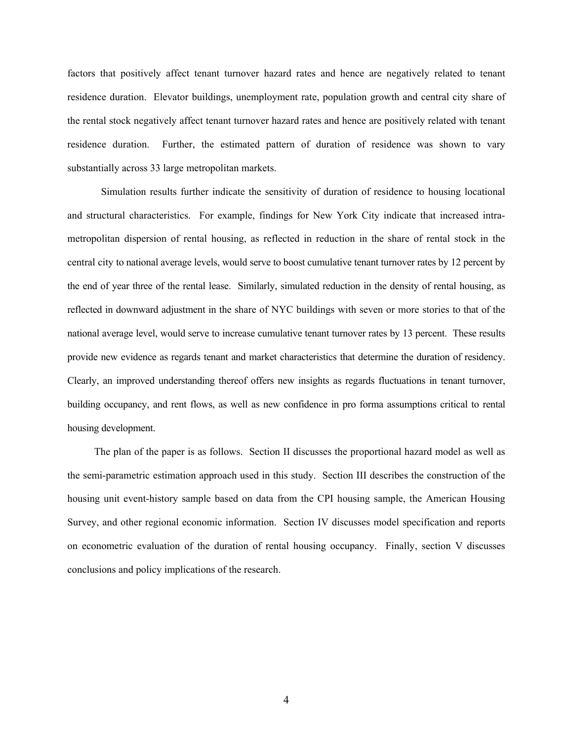factors that positively affect tenant turnover hazard rates and hence are negatively related to tenant residence duration. Elevator buildings, unemployment rate, population growth and central city share of the rental stock negatively affect tenant turnover hazard rates and hence are positively related with tenant residence duration. Further, the estimated pattern of duration of residence was shown to vary substantially across 33 large metropolitan markets.

Simulation results further indicate the sensitivity of duration of residence to housing locational and structural characteristics. For example, findings for New York City indicate that increased intrametropolitan dispersion of rental housing, as reflected in reduction in the share of rental stock in the central city to national average levels, would serve to boost cumulative tenant turnover rates by 12 percent by the end of year three of the rental lease. Similarly, simulated reduction in the density of rental housing, as reflected in downward adjustment in the share of NYC buildings with seven or more stories to that of the national average level, would serve to increase cumulative tenant turnover rates by 13 percent. These results provide new evidence as regards tenant and market characteristics that determine the duration of residency. Clearly, an improved understanding thereof offers new insights as regards fluctuations in tenant turnover, building occupancy, and rent flows, as well as new confidence in pro forma assumptions critical to rental housing development.

The plan of the paper is as follows. Section II discusses the proportional hazard model as well as the semi-parametric estimation approach used in this study. Section III describes the construction of the housing unit event-history sample based on data from the CPI housing sample, the American Housing Survey, and other regional economic information. Section IV discusses model specification and reports on econometric evaluation of the duration of rental housing occupancy. Finally, section V discusses conclusions and policy implications of the research.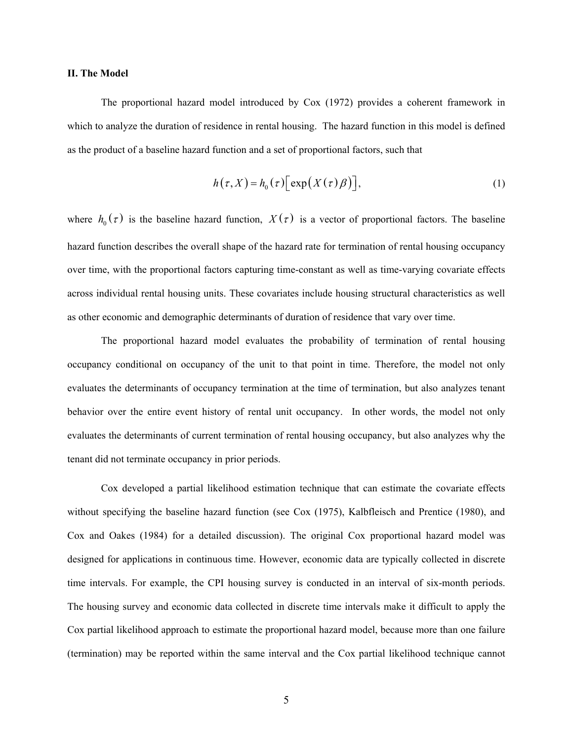#### **II. The Model**

The proportional hazard model introduced by Cox (1972) provides a coherent framework in which to analyze the duration of residence in rental housing. The hazard function in this model is defined as the product of a baseline hazard function and a set of proportional factors, such that

$$
h(\tau, X) = h_0(\tau) \Big[ \exp\big(X(\tau)\beta\big) \Big], \tag{1}
$$

where  $h_0(\tau)$  is the baseline hazard function,  $X(\tau)$  is a vector of proportional factors. The baseline hazard function describes the overall shape of the hazard rate for termination of rental housing occupancy over time, with the proportional factors capturing time-constant as well as time-varying covariate effects across individual rental housing units. These covariates include housing structural characteristics as well as other economic and demographic determinants of duration of residence that vary over time.

The proportional hazard model evaluates the probability of termination of rental housing occupancy conditional on occupancy of the unit to that point in time. Therefore, the model not only evaluates the determinants of occupancy termination at the time of termination, but also analyzes tenant behavior over the entire event history of rental unit occupancy. In other words, the model not only evaluates the determinants of current termination of rental housing occupancy, but also analyzes why the tenant did not terminate occupancy in prior periods.

Cox developed a partial likelihood estimation technique that can estimate the covariate effects without specifying the baseline hazard function (see Cox (1975), Kalbfleisch and Prentice (1980), and Cox and Oakes (1984) for a detailed discussion). The original Cox proportional hazard model was designed for applications in continuous time. However, economic data are typically collected in discrete time intervals. For example, the CPI housing survey is conducted in an interval of six-month periods. The housing survey and economic data collected in discrete time intervals make it difficult to apply the Cox partial likelihood approach to estimate the proportional hazard model, because more than one failure (termination) may be reported within the same interval and the Cox partial likelihood technique cannot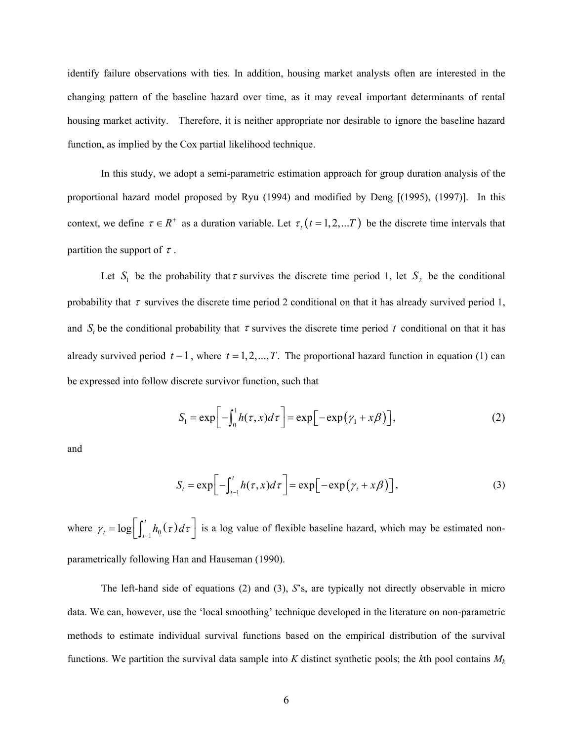identify failure observations with ties. In addition, housing market analysts often are interested in the changing pattern of the baseline hazard over time, as it may reveal important determinants of rental housing market activity. Therefore, it is neither appropriate nor desirable to ignore the baseline hazard function, as implied by the Cox partial likelihood technique.

In this study, we adopt a semi-parametric estimation approach for group duration analysis of the proportional hazard model proposed by Ryu (1994) and modified by Deng [(1995), (1997)]. In this context, we define  $\tau \in R^+$  as a duration variable. Let  $\tau_t$  ( $t = 1, 2, ...T$ ) be the discrete time intervals that partition the support of  $\tau$ .

Let  $S_1$  be the probability that  $\tau$  survives the discrete time period 1, let  $S_2$  be the conditional probability that  $\tau$  survives the discrete time period 2 conditional on that it has already survived period 1, and  $S_t$  be the conditional probability that  $\tau$  survives the discrete time period  $t$  conditional on that it has already survived period  $t - 1$ , where  $t = 1, 2, ..., T$ . The proportional hazard function in equation (1) can be expressed into follow discrete survivor function, such that

$$
S_1 = \exp\left[-\int_0^1 h(\tau, x) d\tau\right] = \exp\left[-\exp\left(\gamma_1 + x\beta\right)\right],\tag{2}
$$

and

$$
S_t = \exp\bigg[-\int_{t-1}^t h(\tau, x)d\tau\bigg] = \exp\bigg[-\exp\big(\gamma_t + x\beta\big)\bigg],\tag{3}
$$

where  $\gamma_t = \log \left[ \int_{t-1}^t h_0(\tau) d\tau \right]$  is a log value of flexible baseline hazard, which may be estimated nonparametrically following Han and Hauseman (1990).

The left-hand side of equations (2) and (3), *S*'s, are typically not directly observable in micro data. We can, however, use the 'local smoothing' technique developed in the literature on non-parametric methods to estimate individual survival functions based on the empirical distribution of the survival functions. We partition the survival data sample into *K* distinct synthetic pools; the *k*th pool contains *Mk*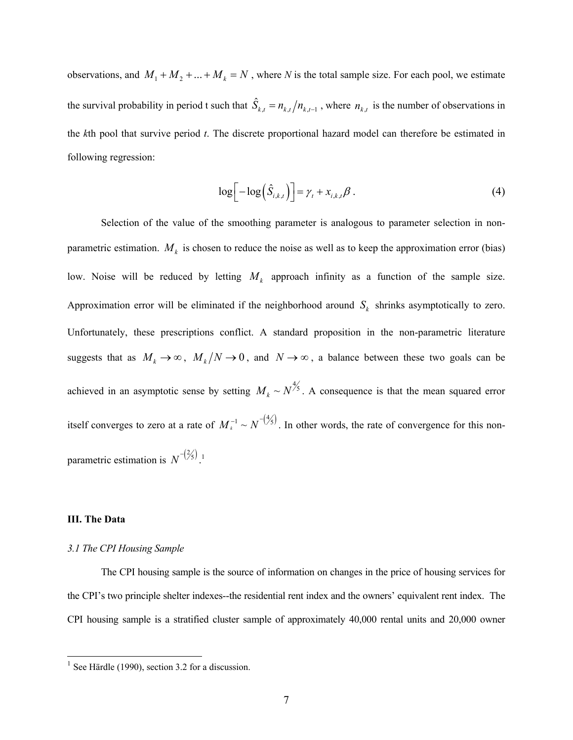observations, and  $M_1 + M_2 + ... + M_k = N$ , where *N* is the total sample size. For each pool, we estimate the survival probability in period t such that  $\hat{S}_{k,t} = n_{k,t} / n_{k,t-1}$ , where  $n_{k,t}$  is the number of observations in the *k*th pool that survive period *t*. The discrete proportional hazard model can therefore be estimated in following regression:

$$
\log\left[-\log\left(\hat{S}_{i,k,t}\right)\right] = \gamma_t + x_{i,k,t}\beta\,. \tag{4}
$$

Selection of the value of the smoothing parameter is analogous to parameter selection in nonparametric estimation.  $M_k$  is chosen to reduce the noise as well as to keep the approximation error (bias) low. Noise will be reduced by letting  $M_k$  approach infinity as a function of the sample size. Approximation error will be eliminated if the neighborhood around  $S_k$  shrinks asymptotically to zero. Unfortunately, these prescriptions conflict. A standard proposition in the non-parametric literature suggests that as  $M_k \to \infty$ ,  $M_k/N \to 0$ , and  $N \to \infty$ , a balance between these two goals can be achieved in an asymptotic sense by setting  $M_k \sim N^{\frac{4}{5}}$ . A consequence is that the mean squared error itself converges to zero at a rate of  $M_k^{-1} \sim N^{-\frac{4}{5}}$ . In other words, the rate of convergence for this nonparametric estimation is  $N^{-\left(\frac{2}{5}\right)}$ .<sup>1</sup>

#### **III. The Data**

 $\overline{a}$ 

#### *3.1 The CPI Housing Sample*

The CPI housing sample is the source of information on changes in the price of housing services for the CPI's two principle shelter indexes--the residential rent index and the owners' equivalent rent index. The CPI housing sample is a stratified cluster sample of approximately 40,000 rental units and 20,000 owner

 $<sup>1</sup>$  See Härdle (1990), section 3.2 for a discussion.</sup>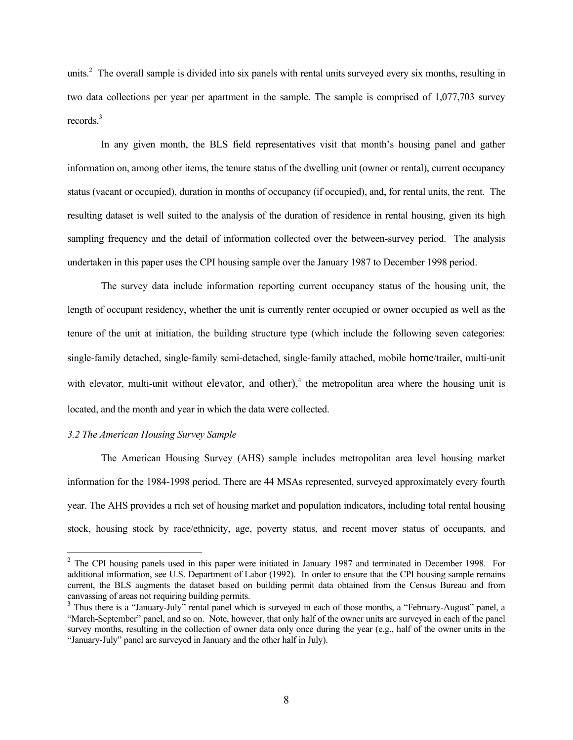units. $2$  The overall sample is divided into six panels with rental units surveyed every six months, resulting in two data collections per year per apartment in the sample. The sample is comprised of 1,077,703 survey records.<sup>3</sup>

 In any given month, the BLS field representatives visit that month's housing panel and gather information on, among other items, the tenure status of the dwelling unit (owner or rental), current occupancy status (vacant or occupied), duration in months of occupancy (if occupied), and, for rental units, the rent. The resulting dataset is well suited to the analysis of the duration of residence in rental housing, given its high sampling frequency and the detail of information collected over the between-survey period. The analysis undertaken in this paper uses the CPI housing sample over the January 1987 to December 1998 period.

 The survey data include information reporting current occupancy status of the housing unit, the length of occupant residency, whether the unit is currently renter occupied or owner occupied as well as the tenure of the unit at initiation, the building structure type (which include the following seven categories: single-family detached, single-family semi-detached, single-family attached, mobile home/trailer, multi-unit with elevator, multi-unit without elevator, and other), $4$  the metropolitan area where the housing unit is located, and the month and year in which the data were collected.

#### *3.2 The American Housing Survey Sample*

 $\overline{a}$ 

 The American Housing Survey (AHS) sample includes metropolitan area level housing market information for the 1984-1998 period. There are 44 MSAs represented, surveyed approximately every fourth year. The AHS provides a rich set of housing market and population indicators, including total rental housing stock, housing stock by race/ethnicity, age, poverty status, and recent mover status of occupants, and

<sup>&</sup>lt;sup>2</sup> The CPI housing panels used in this paper were initiated in January 1987 and terminated in December 1998. For additional information, see U.S. Department of Labor (1992). In order to ensure that the CPI housing sample remains current, the BLS augments the dataset based on building permit data obtained from the Census Bureau and from canvassing of areas not requiring building permits.

<sup>&</sup>lt;sup>3</sup> Thus there is a "January-July" rental panel which is surveyed in each of those months, a "February-August" panel, a "March-September" panel, and so on. Note, however, that only half of the owner units are surveyed in each of the panel survey months, resulting in the collection of owner data only once during the year (e.g., half of the owner units in the "January-July" panel are surveyed in January and the other half in July).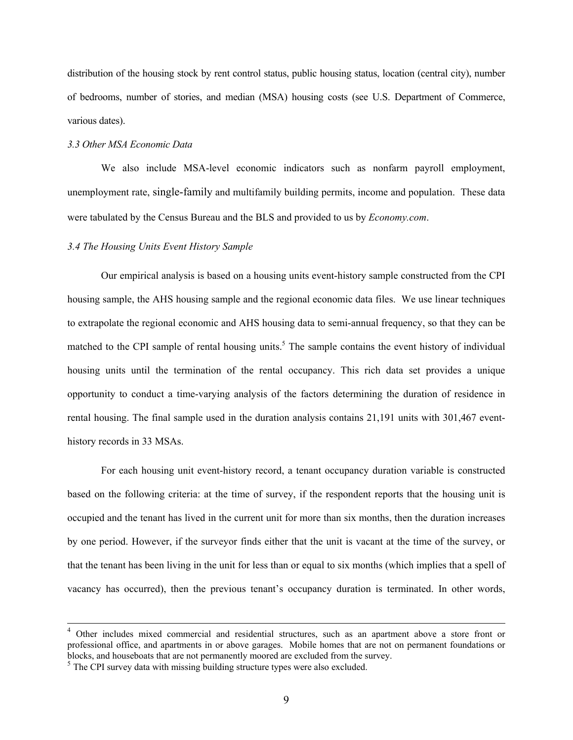distribution of the housing stock by rent control status, public housing status, location (central city), number of bedrooms, number of stories, and median (MSA) housing costs (see U.S. Department of Commerce, various dates).

## *3.3 Other MSA Economic Data*

We also include MSA-level economic indicators such as nonfarm payroll employment, unemployment rate, single-family and multifamily building permits, income and population. These data were tabulated by the Census Bureau and the BLS and provided to us by *Economy.com*.

## *3.4 The Housing Units Event History Sample*

 Our empirical analysis is based on a housing units event-history sample constructed from the CPI housing sample, the AHS housing sample and the regional economic data files. We use linear techniques to extrapolate the regional economic and AHS housing data to semi-annual frequency, so that they can be matched to the CPI sample of rental housing units.<sup>5</sup> The sample contains the event history of individual housing units until the termination of the rental occupancy. This rich data set provides a unique opportunity to conduct a time-varying analysis of the factors determining the duration of residence in rental housing. The final sample used in the duration analysis contains 21,191 units with 301,467 eventhistory records in 33 MSAs.

 For each housing unit event-history record, a tenant occupancy duration variable is constructed based on the following criteria: at the time of survey, if the respondent reports that the housing unit is occupied and the tenant has lived in the current unit for more than six months, then the duration increases by one period. However, if the surveyor finds either that the unit is vacant at the time of the survey, or that the tenant has been living in the unit for less than or equal to six months (which implies that a spell of vacancy has occurred), then the previous tenant's occupancy duration is terminated. In other words,

<sup>&</sup>lt;sup>4</sup> Other includes mixed commercial and residential structures, such as an apartment above a store front or professional office, and apartments in or above garages. Mobile homes that are not on permanent foundations or blocks, and houseboats that are not permanently moored are excluded from the survey.

 $<sup>5</sup>$  The CPI survey data with missing building structure types were also excluded.</sup>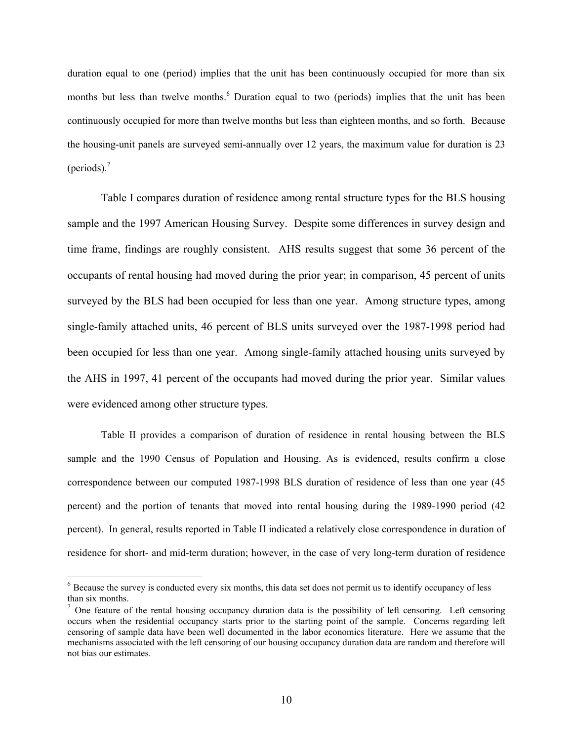duration equal to one (period) implies that the unit has been continuously occupied for more than six months but less than twelve months.<sup>6</sup> Duration equal to two (periods) implies that the unit has been continuously occupied for more than twelve months but less than eighteen months, and so forth. Because the housing-unit panels are surveyed semi-annually over 12 years, the maximum value for duration is 23 (periods). $<sup>7</sup>$ </sup>

 Table I compares duration of residence among rental structure types for the BLS housing sample and the 1997 American Housing Survey. Despite some differences in survey design and time frame, findings are roughly consistent. AHS results suggest that some 36 percent of the occupants of rental housing had moved during the prior year; in comparison, 45 percent of units surveyed by the BLS had been occupied for less than one year. Among structure types, among single-family attached units, 46 percent of BLS units surveyed over the 1987-1998 period had been occupied for less than one year. Among single-family attached housing units surveyed by the AHS in 1997, 41 percent of the occupants had moved during the prior year. Similar values were evidenced among other structure types.

Table II provides a comparison of duration of residence in rental housing between the BLS sample and the 1990 Census of Population and Housing. As is evidenced, results confirm a close correspondence between our computed 1987-1998 BLS duration of residence of less than one year (45 percent) and the portion of tenants that moved into rental housing during the 1989-1990 period (42 percent). In general, results reported in Table II indicated a relatively close correspondence in duration of residence for short- and mid-term duration; however, in the case of very long-term duration of residence

 $\overline{a}$ 

<sup>&</sup>lt;sup>6</sup> Because the survey is conducted every six months, this data set does not permit us to identify occupancy of less than six months.

<sup>&</sup>lt;sup>7</sup> One feature of the rental housing occupancy duration data is the possibility of left censoring. Left censoring occurs when the residential occupancy starts prior to the starting point of the sample. Concerns regarding left censoring of sample data have been well documented in the labor economics literature. Here we assume that the mechanisms associated with the left censoring of our housing occupancy duration data are random and therefore will not bias our estimates.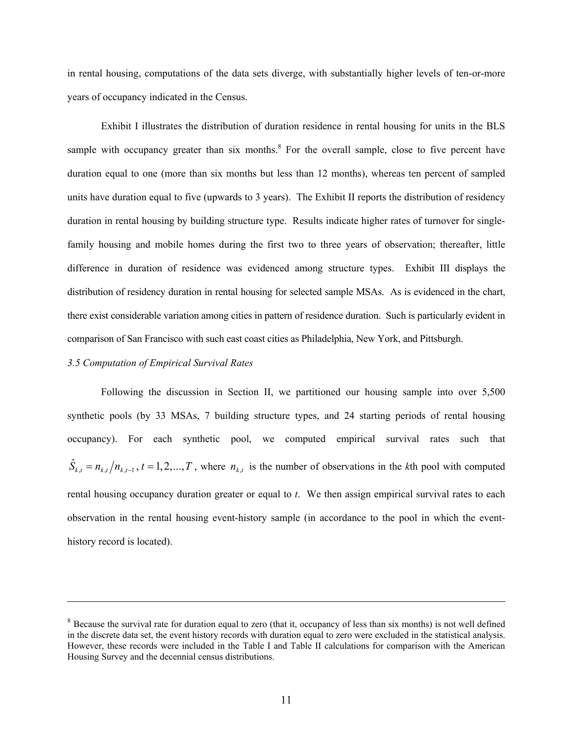in rental housing, computations of the data sets diverge, with substantially higher levels of ten-or-more years of occupancy indicated in the Census.

 Exhibit I illustrates the distribution of duration residence in rental housing for units in the BLS sample with occupancy greater than six months. $8$  For the overall sample, close to five percent have duration equal to one (more than six months but less than 12 months), whereas ten percent of sampled units have duration equal to five (upwards to 3 years). The Exhibit II reports the distribution of residency duration in rental housing by building structure type. Results indicate higher rates of turnover for singlefamily housing and mobile homes during the first two to three years of observation; thereafter, little difference in duration of residence was evidenced among structure types. Exhibit III displays the distribution of residency duration in rental housing for selected sample MSAs. As is evidenced in the chart, there exist considerable variation among cities in pattern of residence duration. Such is particularly evident in comparison of San Francisco with such east coast cities as Philadelphia, New York, and Pittsburgh.

#### *3.5 Computation of Empirical Survival Rates*

 $\overline{a}$ 

Following the discussion in Section II, we partitioned our housing sample into over 5,500 synthetic pools (by 33 MSAs, 7 building structure types, and 24 starting periods of rental housing occupancy). For each synthetic pool, we computed empirical survival rates such that  $\hat{S}_{k,t} = n_{k,t}/n_{k,t-1}$ ,  $t = 1,2,...,T$ , where  $n_{k,t}$  is the number of observations in the *k*th pool with computed rental housing occupancy duration greater or equal to *t*. We then assign empirical survival rates to each observation in the rental housing event-history sample (in accordance to the pool in which the eventhistory record is located).

<sup>&</sup>lt;sup>8</sup> Because the survival rate for duration equal to zero (that it, occupancy of less than six months) is not well defined in the discrete data set, the event history records with duration equal to zero were excluded in the statistical analysis. However, these records were included in the Table I and Table II calculations for comparison with the American Housing Survey and the decennial census distributions.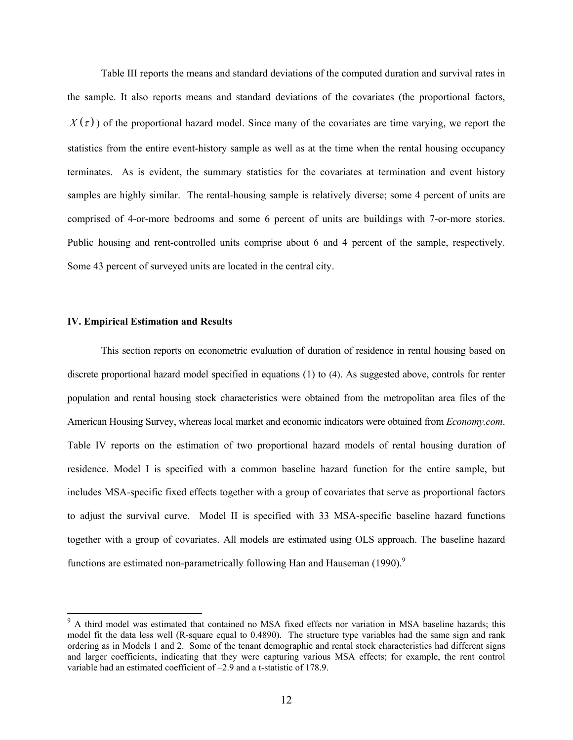Table III reports the means and standard deviations of the computed duration and survival rates in the sample. It also reports means and standard deviations of the covariates (the proportional factors,  $X(\tau)$ ) of the proportional hazard model. Since many of the covariates are time varying, we report the statistics from the entire event-history sample as well as at the time when the rental housing occupancy terminates. As is evident, the summary statistics for the covariates at termination and event history samples are highly similar. The rental-housing sample is relatively diverse; some 4 percent of units are comprised of 4-or-more bedrooms and some 6 percent of units are buildings with 7-or-more stories. Public housing and rent-controlled units comprise about 6 and 4 percent of the sample, respectively. Some 43 percent of surveyed units are located in the central city.

#### **IV. Empirical Estimation and Results**

 $\overline{a}$ 

This section reports on econometric evaluation of duration of residence in rental housing based on discrete proportional hazard model specified in equations (1) to (4). As suggested above, controls for renter population and rental housing stock characteristics were obtained from the metropolitan area files of the American Housing Survey, whereas local market and economic indicators were obtained from *Economy.com*. Table IV reports on the estimation of two proportional hazard models of rental housing duration of residence. Model I is specified with a common baseline hazard function for the entire sample, but includes MSA-specific fixed effects together with a group of covariates that serve as proportional factors to adjust the survival curve. Model II is specified with 33 MSA-specific baseline hazard functions together with a group of covariates. All models are estimated using OLS approach. The baseline hazard functions are estimated non-parametrically following Han and Hauseman  $(1990)^9$ 

<sup>&</sup>lt;sup>9</sup> A third model was estimated that contained no MSA fixed effects nor variation in MSA baseline hazards; this model fit the data less well (R-square equal to 0.4890). The structure type variables had the same sign and rank ordering as in Models 1 and 2. Some of the tenant demographic and rental stock characteristics had different signs and larger coefficients, indicating that they were capturing various MSA effects; for example, the rent control variable had an estimated coefficient of –2.9 and a t-statistic of 178.9.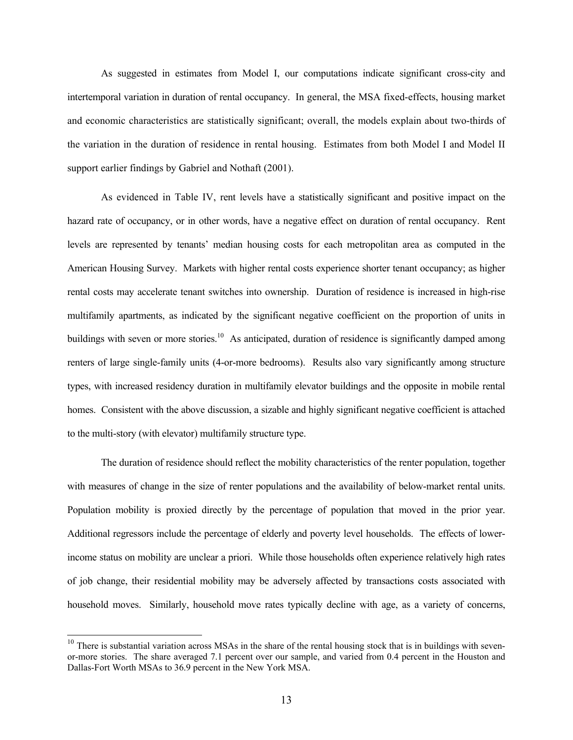As suggested in estimates from Model I, our computations indicate significant cross-city and intertemporal variation in duration of rental occupancy. In general, the MSA fixed-effects, housing market and economic characteristics are statistically significant; overall, the models explain about two-thirds of the variation in the duration of residence in rental housing. Estimates from both Model I and Model II support earlier findings by Gabriel and Nothaft (2001).

As evidenced in Table IV, rent levels have a statistically significant and positive impact on the hazard rate of occupancy, or in other words, have a negative effect on duration of rental occupancy. Rent levels are represented by tenants' median housing costs for each metropolitan area as computed in the American Housing Survey. Markets with higher rental costs experience shorter tenant occupancy; as higher rental costs may accelerate tenant switches into ownership. Duration of residence is increased in high-rise multifamily apartments, as indicated by the significant negative coefficient on the proportion of units in buildings with seven or more stories.<sup>10</sup> As anticipated, duration of residence is significantly damped among renters of large single-family units (4-or-more bedrooms). Results also vary significantly among structure types, with increased residency duration in multifamily elevator buildings and the opposite in mobile rental homes. Consistent with the above discussion, a sizable and highly significant negative coefficient is attached to the multi-story (with elevator) multifamily structure type.

 The duration of residence should reflect the mobility characteristics of the renter population, together with measures of change in the size of renter populations and the availability of below-market rental units. Population mobility is proxied directly by the percentage of population that moved in the prior year. Additional regressors include the percentage of elderly and poverty level households. The effects of lowerincome status on mobility are unclear a priori. While those households often experience relatively high rates of job change, their residential mobility may be adversely affected by transactions costs associated with household moves. Similarly, household move rates typically decline with age, as a variety of concerns,

 $\overline{a}$ 

 $10$  There is substantial variation across MSAs in the share of the rental housing stock that is in buildings with sevenor-more stories. The share averaged 7.1 percent over our sample, and varied from 0.4 percent in the Houston and Dallas-Fort Worth MSAs to 36.9 percent in the New York MSA.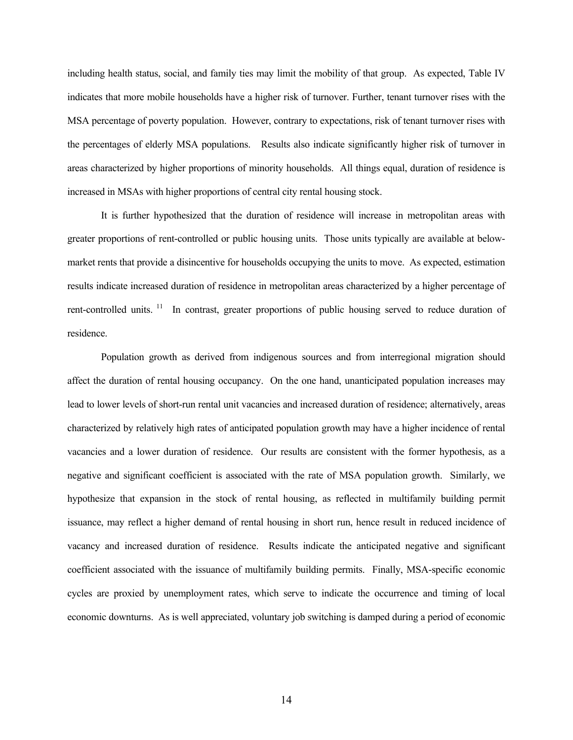including health status, social, and family ties may limit the mobility of that group. As expected, Table IV indicates that more mobile households have a higher risk of turnover. Further, tenant turnover rises with the MSA percentage of poverty population. However, contrary to expectations, risk of tenant turnover rises with the percentages of elderly MSA populations. Results also indicate significantly higher risk of turnover in areas characterized by higher proportions of minority households. All things equal, duration of residence is increased in MSAs with higher proportions of central city rental housing stock.

 It is further hypothesized that the duration of residence will increase in metropolitan areas with greater proportions of rent-controlled or public housing units. Those units typically are available at belowmarket rents that provide a disincentive for households occupying the units to move. As expected, estimation results indicate increased duration of residence in metropolitan areas characterized by a higher percentage of rent-controlled units.<sup>11</sup> In contrast, greater proportions of public housing served to reduce duration of residence.

 Population growth as derived from indigenous sources and from interregional migration should affect the duration of rental housing occupancy. On the one hand, unanticipated population increases may lead to lower levels of short-run rental unit vacancies and increased duration of residence; alternatively, areas characterized by relatively high rates of anticipated population growth may have a higher incidence of rental vacancies and a lower duration of residence. Our results are consistent with the former hypothesis, as a negative and significant coefficient is associated with the rate of MSA population growth. Similarly, we hypothesize that expansion in the stock of rental housing, as reflected in multifamily building permit issuance, may reflect a higher demand of rental housing in short run, hence result in reduced incidence of vacancy and increased duration of residence. Results indicate the anticipated negative and significant coefficient associated with the issuance of multifamily building permits. Finally, MSA-specific economic cycles are proxied by unemployment rates, which serve to indicate the occurrence and timing of local economic downturns. As is well appreciated, voluntary job switching is damped during a period of economic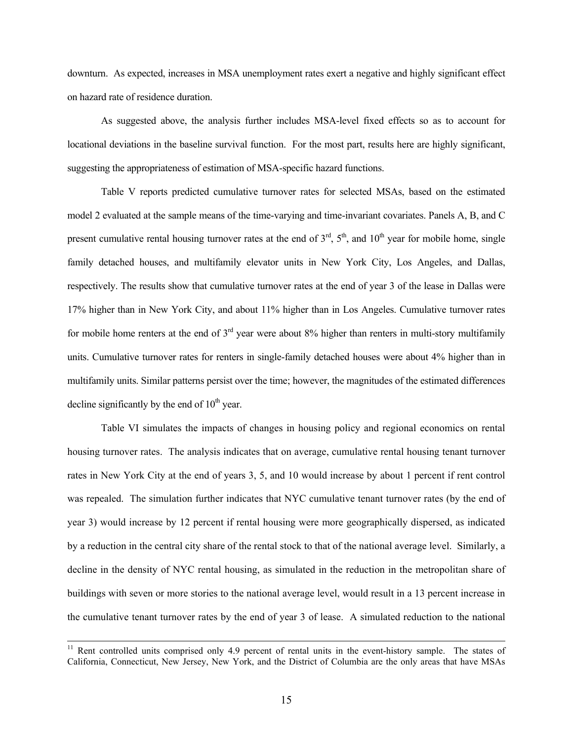downturn. As expected, increases in MSA unemployment rates exert a negative and highly significant effect on hazard rate of residence duration.

 As suggested above, the analysis further includes MSA-level fixed effects so as to account for locational deviations in the baseline survival function. For the most part, results here are highly significant, suggesting the appropriateness of estimation of MSA-specific hazard functions.

 Table V reports predicted cumulative turnover rates for selected MSAs, based on the estimated model 2 evaluated at the sample means of the time-varying and time-invariant covariates. Panels A, B, and C present cumulative rental housing turnover rates at the end of  $3<sup>rd</sup>$ ,  $5<sup>th</sup>$ , and  $10<sup>th</sup>$  year for mobile home, single family detached houses, and multifamily elevator units in New York City, Los Angeles, and Dallas, respectively. The results show that cumulative turnover rates at the end of year 3 of the lease in Dallas were 17% higher than in New York City, and about 11% higher than in Los Angeles. Cumulative turnover rates for mobile home renters at the end of  $3<sup>rd</sup>$  year were about 8% higher than renters in multi-story multifamily units. Cumulative turnover rates for renters in single-family detached houses were about 4% higher than in multifamily units. Similar patterns persist over the time; however, the magnitudes of the estimated differences decline significantly by the end of  $10<sup>th</sup>$  year.

Table VI simulates the impacts of changes in housing policy and regional economics on rental housing turnover rates. The analysis indicates that on average, cumulative rental housing tenant turnover rates in New York City at the end of years 3, 5, and 10 would increase by about 1 percent if rent control was repealed. The simulation further indicates that NYC cumulative tenant turnover rates (by the end of year 3) would increase by 12 percent if rental housing were more geographically dispersed, as indicated by a reduction in the central city share of the rental stock to that of the national average level. Similarly, a decline in the density of NYC rental housing, as simulated in the reduction in the metropolitan share of buildings with seven or more stories to the national average level, would result in a 13 percent increase in the cumulative tenant turnover rates by the end of year 3 of lease. A simulated reduction to the national

<sup>&</sup>lt;sup>11</sup> Rent controlled units comprised only 4.9 percent of rental units in the event-history sample. The states of California, Connecticut, New Jersey, New York, and the District of Columbia are the only areas that have MSAs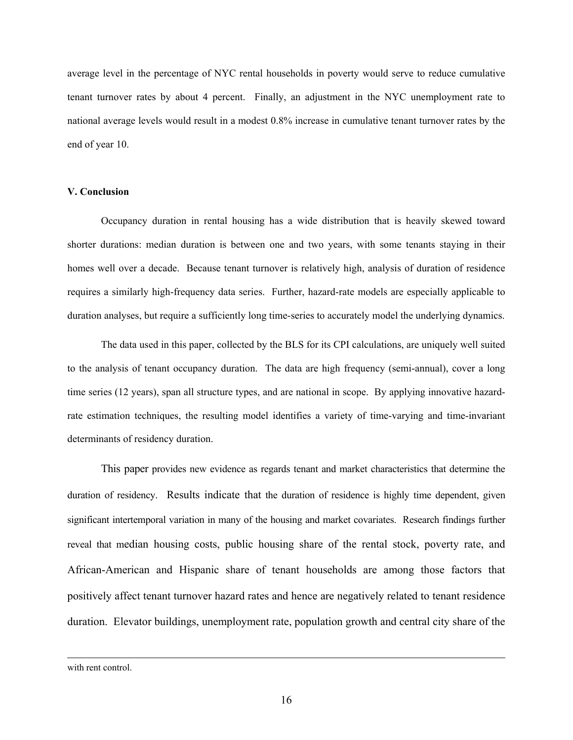average level in the percentage of NYC rental households in poverty would serve to reduce cumulative tenant turnover rates by about 4 percent. Finally, an adjustment in the NYC unemployment rate to national average levels would result in a modest 0.8% increase in cumulative tenant turnover rates by the end of year 10.

## **V. Conclusion**

Occupancy duration in rental housing has a wide distribution that is heavily skewed toward shorter durations: median duration is between one and two years, with some tenants staying in their homes well over a decade. Because tenant turnover is relatively high, analysis of duration of residence requires a similarly high-frequency data series. Further, hazard-rate models are especially applicable to duration analyses, but require a sufficiently long time-series to accurately model the underlying dynamics.

The data used in this paper, collected by the BLS for its CPI calculations, are uniquely well suited to the analysis of tenant occupancy duration. The data are high frequency (semi-annual), cover a long time series (12 years), span all structure types, and are national in scope. By applying innovative hazardrate estimation techniques, the resulting model identifies a variety of time-varying and time-invariant determinants of residency duration.

This paper provides new evidence as regards tenant and market characteristics that determine the duration of residency. Results indicate that the duration of residence is highly time dependent, given significant intertemporal variation in many of the housing and market covariates. Research findings further reveal that median housing costs, public housing share of the rental stock, poverty rate, and African-American and Hispanic share of tenant households are among those factors that positively affect tenant turnover hazard rates and hence are negatively related to tenant residence duration. Elevator buildings, unemployment rate, population growth and central city share of the

with rent control.

 $\overline{a}$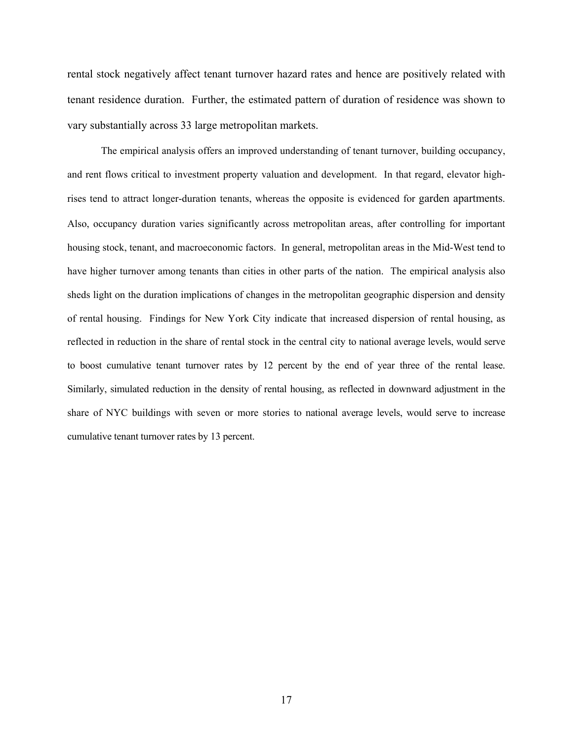rental stock negatively affect tenant turnover hazard rates and hence are positively related with tenant residence duration. Further, the estimated pattern of duration of residence was shown to vary substantially across 33 large metropolitan markets.

The empirical analysis offers an improved understanding of tenant turnover, building occupancy, and rent flows critical to investment property valuation and development. In that regard, elevator highrises tend to attract longer-duration tenants, whereas the opposite is evidenced for garden apartments. Also, occupancy duration varies significantly across metropolitan areas, after controlling for important housing stock, tenant, and macroeconomic factors. In general, metropolitan areas in the Mid-West tend to have higher turnover among tenants than cities in other parts of the nation. The empirical analysis also sheds light on the duration implications of changes in the metropolitan geographic dispersion and density of rental housing. Findings for New York City indicate that increased dispersion of rental housing, as reflected in reduction in the share of rental stock in the central city to national average levels, would serve to boost cumulative tenant turnover rates by 12 percent by the end of year three of the rental lease. Similarly, simulated reduction in the density of rental housing, as reflected in downward adjustment in the share of NYC buildings with seven or more stories to national average levels, would serve to increase cumulative tenant turnover rates by 13 percent.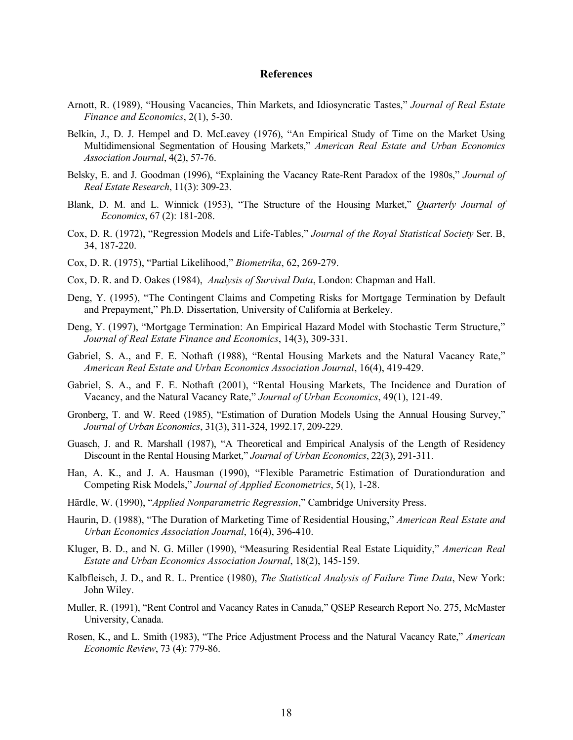#### **References**

- Arnott, R. (1989), "Housing Vacancies, Thin Markets, and Idiosyncratic Tastes," *Journal of Real Estate Finance and Economics*, 2(1), 5-30.
- Belkin, J., D. J. Hempel and D. McLeavey (1976), "An Empirical Study of Time on the Market Using Multidimensional Segmentation of Housing Markets," *American Real Estate and Urban Economics Association Journal*, 4(2), 57-76.
- Belsky, E. and J. Goodman (1996), "Explaining the Vacancy Rate-Rent Paradox of the 1980s," *Journal of Real Estate Research*, 11(3): 309-23.
- Blank, D. M. and L. Winnick (1953), "The Structure of the Housing Market," *Quarterly Journal of Economics*, 67 (2): 181-208.
- Cox, D. R. (1972), "Regression Models and Life-Tables," *Journal of the Royal Statistical Society* Ser. B, 34, 187-220.
- Cox, D. R. (1975), "Partial Likelihood," *Biometrika*, 62, 269-279.
- Cox, D. R. and D. Oakes (1984), *Analysis of Survival Data*, London: Chapman and Hall.
- Deng, Y. (1995), "The Contingent Claims and Competing Risks for Mortgage Termination by Default and Prepayment," Ph.D. Dissertation, University of California at Berkeley.
- Deng, Y. (1997), "Mortgage Termination: An Empirical Hazard Model with Stochastic Term Structure," *Journal of Real Estate Finance and Economics*, 14(3), 309-331.
- Gabriel, S. A., and F. E. Nothaft (1988), "Rental Housing Markets and the Natural Vacancy Rate," *American Real Estate and Urban Economics Association Journal*, 16(4), 419-429.
- Gabriel, S. A., and F. E. Nothaft (2001), "Rental Housing Markets, The Incidence and Duration of Vacancy, and the Natural Vacancy Rate," *Journal of Urban Economics*, 49(1), 121-49.
- Gronberg, T. and W. Reed (1985), "Estimation of Duration Models Using the Annual Housing Survey," *Journal of Urban Economics*, 31(3), 311-324, 1992.17, 209-229.
- Guasch, J. and R. Marshall (1987), "A Theoretical and Empirical Analysis of the Length of Residency Discount in the Rental Housing Market," *Journal of Urban Economics*, 22(3), 291-311.
- Han, A. K., and J. A. Hausman (1990), "Flexible Parametric Estimation of Durationduration and Competing Risk Models," *Journal of Applied Econometrics*, 5(1), 1-28.
- Härdle, W. (1990), "*Applied Nonparametric Regression*," Cambridge University Press.
- Haurin, D. (1988), "The Duration of Marketing Time of Residential Housing," *American Real Estate and Urban Economics Association Journal*, 16(4), 396-410.
- Kluger, B. D., and N. G. Miller (1990), "Measuring Residential Real Estate Liquidity," *American Real Estate and Urban Economics Association Journal*, 18(2), 145-159.
- Kalbfleisch, J. D., and R. L. Prentice (1980), *The Statistical Analysis of Failure Time Data*, New York: John Wiley.
- Muller, R. (1991), "Rent Control and Vacancy Rates in Canada," QSEP Research Report No. 275, McMaster University, Canada.
- Rosen, K., and L. Smith (1983), "The Price Adjustment Process and the Natural Vacancy Rate," *American Economic Review*, 73 (4): 779-86.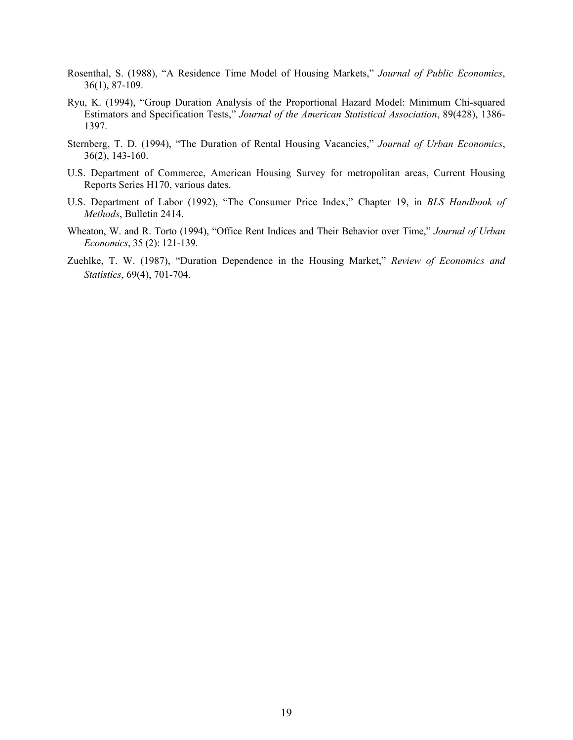- Rosenthal, S. (1988), "A Residence Time Model of Housing Markets," *Journal of Public Economics*, 36(1), 87-109.
- Ryu, K. (1994), "Group Duration Analysis of the Proportional Hazard Model: Minimum Chi-squared Estimators and Specification Tests," *Journal of the American Statistical Association*, 89(428), 1386- 1397.
- Sternberg, T. D. (1994), "The Duration of Rental Housing Vacancies," *Journal of Urban Economics*, 36(2), 143-160.
- U.S. Department of Commerce, American Housing Survey for metropolitan areas, Current Housing Reports Series H170, various dates.
- U.S. Department of Labor (1992), "The Consumer Price Index," Chapter 19, in *BLS Handbook of Methods*, Bulletin 2414.
- Wheaton, W. and R. Torto (1994), "Office Rent Indices and Their Behavior over Time," *Journal of Urban Economics*, 35 (2): 121-139.
- Zuehlke, T. W. (1987), "Duration Dependence in the Housing Market," *Review of Economics and Statistics*, 69(4), 701-704.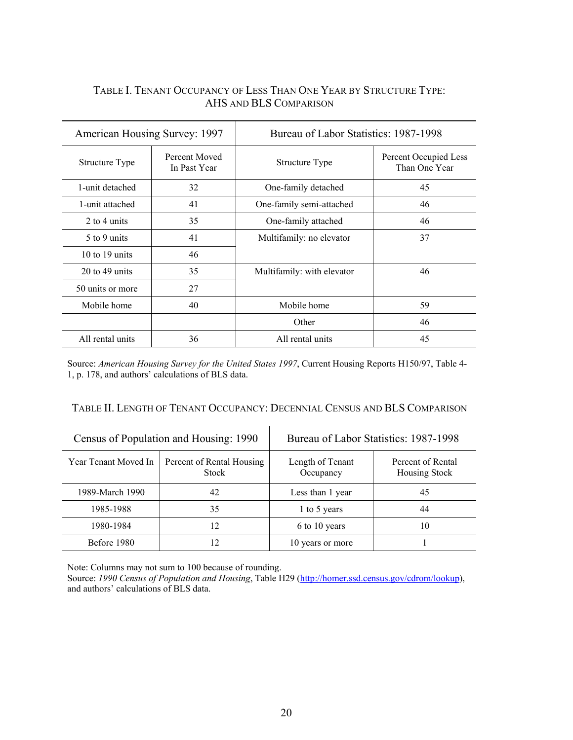## TABLE I. TENANT OCCUPANCY OF LESS THAN ONE YEAR BY STRUCTURE TYPE: AHS AND BLS COMPARISON

| American Housing Survey: 1997 |                               | Bureau of Labor Statistics: 1987-1998 |                                        |  |
|-------------------------------|-------------------------------|---------------------------------------|----------------------------------------|--|
| Structure Type                | Percent Moved<br>In Past Year | Structure Type                        | Percent Occupied Less<br>Than One Year |  |
| 1-unit detached               | 32                            | One-family detached                   | 45                                     |  |
| 1-unit attached               | 41                            | One-family semi-attached              | 46                                     |  |
| 2 to 4 units                  | 35                            | One-family attached                   | 46                                     |  |
| 5 to 9 units                  | 41                            | Multifamily: no elevator              | 37                                     |  |
| 10 to 19 units                | 46                            |                                       |                                        |  |
| $20$ to 49 units              | 35                            | Multifamily: with elevator            | 46                                     |  |
| 50 units or more              | 27                            |                                       |                                        |  |
| Mobile home                   | 40                            | Mobile home                           | 59                                     |  |
|                               |                               | Other                                 | 46                                     |  |
| All rental units              | 36                            | All rental units                      | 45                                     |  |

Source: *American Housing Survey for the United States 1997*, Current Housing Reports H150/97, Table 4- 1, p. 178, and authors' calculations of BLS data.

## TABLE II. LENGTH OF TENANT OCCUPANCY: DECENNIAL CENSUS AND BLS COMPARISON

| Census of Population and Housing: 1990 |                                    | Bureau of Labor Statistics: 1987-1998 |                                    |  |
|----------------------------------------|------------------------------------|---------------------------------------|------------------------------------|--|
| Year Tenant Moved In                   | Percent of Rental Housing<br>Stock | Length of Tenant<br>Occupancy         | Percent of Rental<br>Housing Stock |  |
| 1989-March 1990                        | 42                                 | Less than 1 year                      | 45                                 |  |
| 1985-1988                              | 35                                 | 1 to 5 years                          | 44                                 |  |
| 1980-1984                              | 12                                 | 6 to 10 years                         | 10                                 |  |
| Before 1980                            |                                    | 10 years or more                      |                                    |  |

Note: Columns may not sum to 100 because of rounding.

Source: *1990 Census of Population and Housing*, Table H29 (http://homer.ssd.census.gov/cdrom/lookup), and authors' calculations of BLS data.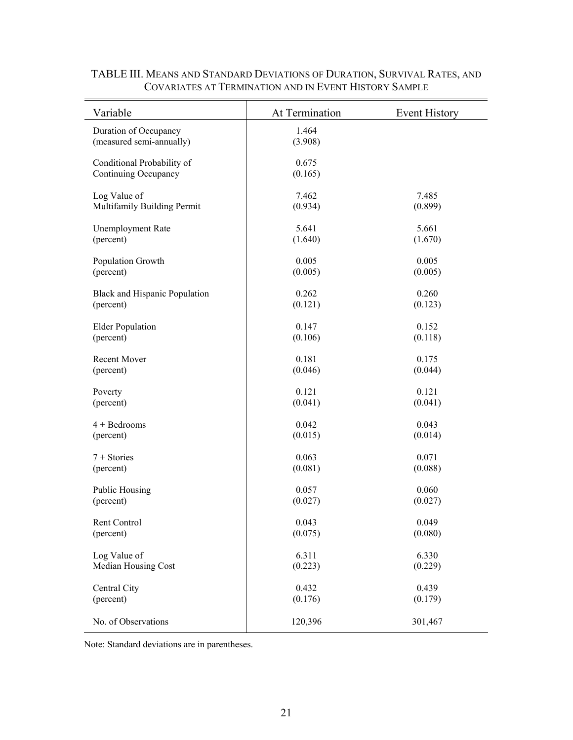| Variable                                           | At Termination   | <b>Event History</b> |
|----------------------------------------------------|------------------|----------------------|
| Duration of Occupancy<br>(measured semi-annually)  | 1.464<br>(3.908) |                      |
| Conditional Probability of<br>Continuing Occupancy | 0.675<br>(0.165) |                      |
| Log Value of                                       | 7.462            | 7.485                |
| Multifamily Building Permit                        | (0.934)          | (0.899)              |
| <b>Unemployment Rate</b>                           | 5.641            | 5.661                |
| (percent)                                          | (1.640)          | (1.670)              |
| Population Growth                                  | 0.005            | 0.005                |
| (percent)                                          | (0.005)          | (0.005)              |
| <b>Black and Hispanic Population</b>               | 0.262            | 0.260                |
| (percent)                                          | (0.121)          | (0.123)              |
| <b>Elder Population</b>                            | 0.147            | 0.152                |
| (percent)                                          | (0.106)          | (0.118)              |
| <b>Recent Mover</b>                                | 0.181            | 0.175                |
| (percent)                                          | (0.046)          | (0.044)              |
| Poverty                                            | 0.121            | 0.121                |
| (percent)                                          | (0.041)          | (0.041)              |
| $4 + Bedrooms$                                     | 0.042            | 0.043                |
| (percent)                                          | (0.015)          | (0.014)              |
| $7 + Stories$                                      | 0.063            | 0.071                |
| (percent)                                          | (0.081)          | (0.088)              |
| Public Housing                                     | 0.057            | 0.060                |
| (percent)                                          | (0.027)          | (0.027)              |
| Rent Control                                       | 0.043            | 0.049                |
| (percent)                                          | (0.075)          | (0.080)              |
| Log Value of                                       | 6.311            | 6.330                |
| Median Housing Cost                                | (0.223)          | (0.229)              |
| Central City                                       | 0.432            | 0.439                |
| (percent)                                          | (0.176)          | (0.179)              |
| No. of Observations                                | 120,396          | 301,467              |

## TABLE III. MEANS AND STANDARD DEVIATIONS OF DURATION, SURVIVAL RATES, AND COVARIATES AT TERMINATION AND IN EVENT HISTORY SAMPLE

Note: Standard deviations are in parentheses.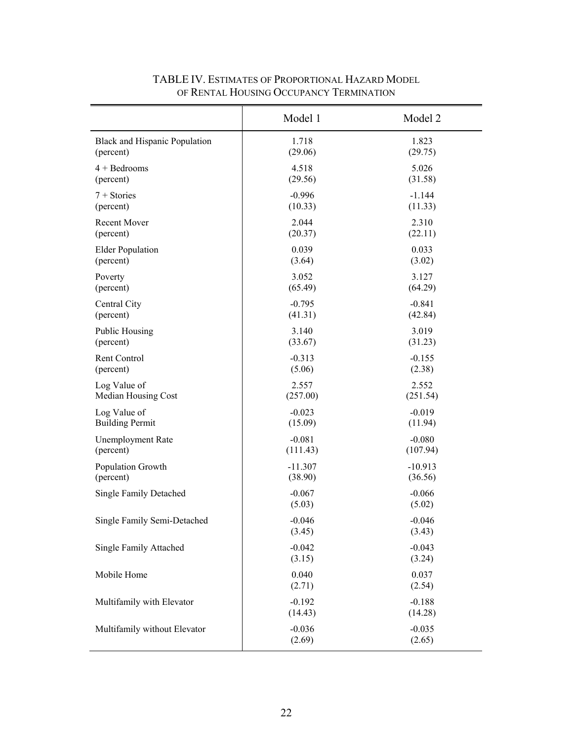|                                      | Model 1             | Model 2             |
|--------------------------------------|---------------------|---------------------|
| <b>Black and Hispanic Population</b> | 1.718               | 1.823               |
| (percent)                            | (29.06)             | (29.75)             |
| $4 + Bedrooms$                       | 4.518               | 5.026               |
| (percent)                            | (29.56)             | (31.58)             |
| $7 + Stories$                        | $-0.996$            | $-1.144$            |
| (percent)                            | (10.33)             | (11.33)             |
| <b>Recent Mover</b>                  | 2.044               | 2.310               |
| (percent)                            | (20.37)             | (22.11)             |
| <b>Elder Population</b>              | 0.039               | 0.033               |
| (percent)                            | (3.64)              | (3.02)              |
| Poverty                              | 3.052               | 3.127               |
| (percent)                            | (65.49)             | (64.29)             |
| Central City                         | $-0.795$            | $-0.841$            |
| (percent)                            | (41.31)             | (42.84)             |
| <b>Public Housing</b>                | 3.140               | 3.019               |
| (percent)                            | (33.67)             | (31.23)             |
| Rent Control                         | $-0.313$            | $-0.155$            |
| (percent)                            | (5.06)              | (2.38)              |
| Log Value of                         | 2.557               | 2.552               |
| Median Housing Cost                  | (257.00)            | (251.54)            |
| Log Value of                         | $-0.023$            | $-0.019$            |
| <b>Building Permit</b>               | (15.09)             | (11.94)             |
| <b>Unemployment Rate</b>             | $-0.081$            | $-0.080$            |
| (percent)                            | (111.43)            | (107.94)            |
| Population Growth                    | $-11.307$           | $-10.913$           |
| (percent)                            | (38.90)             | (36.56)             |
| <b>Single Family Detached</b>        | $-0.067$<br>(5.03)  | $-0.066$<br>(5.02)  |
| Single Family Semi-Detached          | $-0.046$<br>(3.45)  | $-0.046$<br>(3.43)  |
| Single Family Attached               | $-0.042$<br>(3.15)  | $-0.043$<br>(3.24)  |
| Mobile Home                          | 0.040<br>(2.71)     | 0.037<br>(2.54)     |
| Multifamily with Elevator            | $-0.192$<br>(14.43) | $-0.188$<br>(14.28) |
| Multifamily without Elevator         | $-0.036$<br>(2.69)  | $-0.035$<br>(2.65)  |

# TABLE IV. ESTIMATES OF PROPORTIONAL HAZARD MODEL OF RENTAL HOUSING OCCUPANCY TERMINATION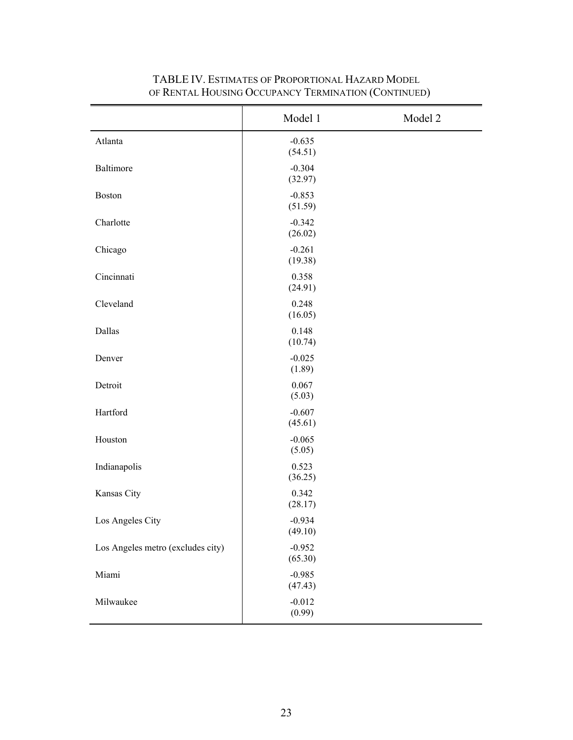|                                   | Model 1             | Model 2 |
|-----------------------------------|---------------------|---------|
| Atlanta                           | $-0.635$<br>(54.51) |         |
| Baltimore                         | $-0.304$<br>(32.97) |         |
| <b>Boston</b>                     | $-0.853$<br>(51.59) |         |
| Charlotte                         | $-0.342$<br>(26.02) |         |
| Chicago                           | $-0.261$<br>(19.38) |         |
| Cincinnati                        | 0.358<br>(24.91)    |         |
| Cleveland                         | 0.248<br>(16.05)    |         |
| Dallas                            | 0.148<br>(10.74)    |         |
| Denver                            | $-0.025$<br>(1.89)  |         |
| Detroit                           | 0.067<br>(5.03)     |         |
| Hartford                          | $-0.607$<br>(45.61) |         |
| Houston                           | $-0.065$<br>(5.05)  |         |
| Indianapolis                      | 0.523<br>(36.25)    |         |
| Kansas City                       | 0.342<br>(28.17)    |         |
| Los Angeles City                  | $-0.934$<br>(49.10) |         |
| Los Angeles metro (excludes city) | $-0.952$<br>(65.30) |         |
| Miami                             | $-0.985$<br>(47.43) |         |
| Milwaukee                         | $-0.012$<br>(0.99)  |         |

# TABLE IV. ESTIMATES OF PROPORTIONAL HAZARD MODEL OF RENTAL HOUSING OCCUPANCY TERMINATION (CONTINUED)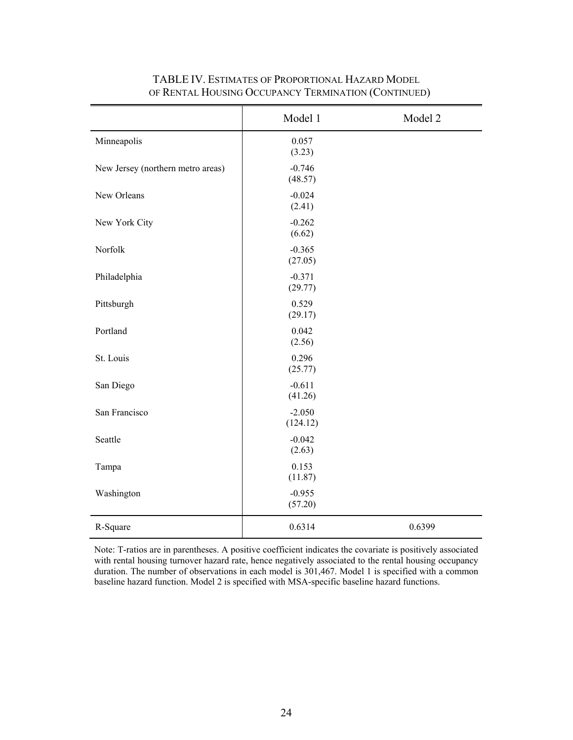|                                   | Model 1              | Model 2 |
|-----------------------------------|----------------------|---------|
| Minneapolis                       | 0.057<br>(3.23)      |         |
| New Jersey (northern metro areas) | $-0.746$<br>(48.57)  |         |
| New Orleans                       | $-0.024$<br>(2.41)   |         |
| New York City                     | $-0.262$<br>(6.62)   |         |
| Norfolk                           | $-0.365$<br>(27.05)  |         |
| Philadelphia                      | $-0.371$<br>(29.77)  |         |
| Pittsburgh                        | 0.529<br>(29.17)     |         |
| Portland                          | 0.042<br>(2.56)      |         |
| St. Louis                         | 0.296<br>(25.77)     |         |
| San Diego                         | $-0.611$<br>(41.26)  |         |
| San Francisco                     | $-2.050$<br>(124.12) |         |
| Seattle                           | $-0.042$<br>(2.63)   |         |
| Tampa                             | 0.153<br>(11.87)     |         |
| Washington                        | $-0.955$<br>(57.20)  |         |
| R-Square                          | 0.6314               | 0.6399  |

# TABLE IV. ESTIMATES OF PROPORTIONAL HAZARD MODEL OF RENTAL HOUSING OCCUPANCY TERMINATION (CONTINUED)

Note: T-ratios are in parentheses. A positive coefficient indicates the covariate is positively associated with rental housing turnover hazard rate, hence negatively associated to the rental housing occupancy duration. The number of observations in each model is 301,467. Model 1 is specified with a common baseline hazard function. Model 2 is specified with MSA-specific baseline hazard functions.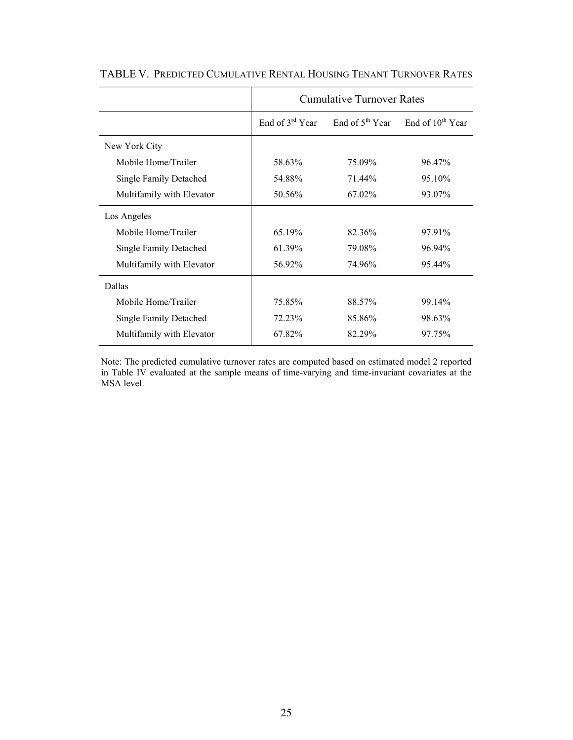|                               | <b>Cumulative Turnover Rates</b> |                                            |        |
|-------------------------------|----------------------------------|--------------------------------------------|--------|
|                               | End of $3^{rd}$ Year             | End of $5^{th}$ Year End of $10^{th}$ Year |        |
| New York City                 |                                  |                                            |        |
| Mobile Home/Trailer           | 58.63%                           | 75.09%                                     | 96.47% |
| <b>Single Family Detached</b> | 54.88%                           | 71 44 <sup>o</sup>                         | 95.10% |
| Multifamily with Elevator     | 50.56%                           | 67.02%                                     | 93.07% |
| Los Angeles                   |                                  |                                            |        |
| Mobile Home/Trailer           | 65.19%                           | 82.36%                                     | 97.91% |
| <b>Single Family Detached</b> | 61.39%                           | 79.08%                                     | 96.94% |
| Multifamily with Elevator     | 56.92%                           | 74.96%                                     | 95.44% |
| Dallas                        |                                  |                                            |        |
| Mobile Home/Trailer           | 75.85%                           | 88.57%                                     | 99.14% |
| <b>Single Family Detached</b> | 72.23%                           | 85.86%                                     | 98.63% |
| Multifamily with Elevator     | 67.82%                           | 82.29%                                     | 97.75% |

TABLE V. PREDICTED CUMULATIVE RENTAL HOUSING TENANT TURNOVER RATES

Note: The predicted cumulative turnover rates are computed based on estimated model 2 reported in Table IV evaluated at the sample means of time-varying and time-invariant covariates at the MSA level.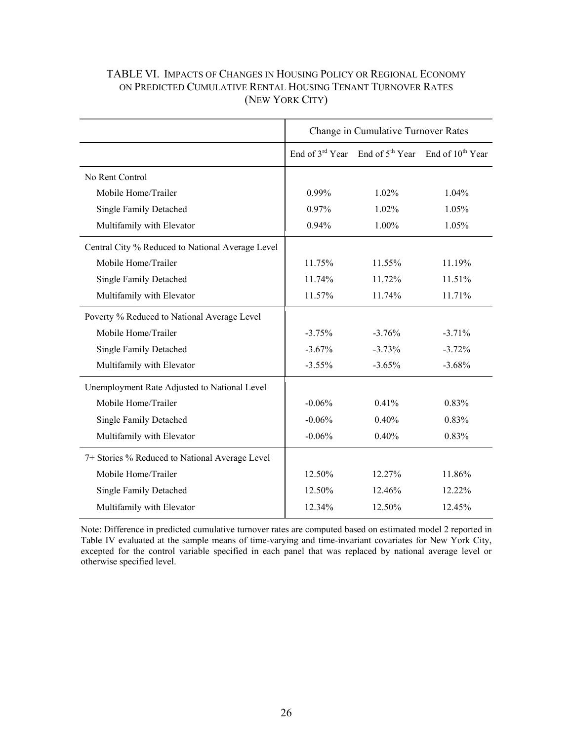# TABLE VI. IMPACTS OF CHANGES IN HOUSING POLICY OR REGIONAL ECONOMY ON PREDICTED CUMULATIVE RENTAL HOUSING TENANT TURNOVER RATES (NEW YORK CITY)

|                                                  | Change in Cumulative Turnover Rates |          |                                                                 |
|--------------------------------------------------|-------------------------------------|----------|-----------------------------------------------------------------|
|                                                  |                                     |          | End of $3^{rd}$ Year End of $5^{th}$ Year End of $10^{th}$ Year |
| No Rent Control                                  |                                     |          |                                                                 |
| Mobile Home/Trailer                              | 0.99%                               | $1.02\%$ | $1.04\%$                                                        |
| <b>Single Family Detached</b>                    | 0.97%                               | 1.02%    | 1.05%                                                           |
| Multifamily with Elevator                        | 0.94%                               | 1.00%    | 1.05%                                                           |
| Central City % Reduced to National Average Level |                                     |          |                                                                 |
| Mobile Home/Trailer                              | 11.75%                              | 11.55%   | 11.19%                                                          |
| <b>Single Family Detached</b>                    | 11.74%                              | 11.72%   | 11.51%                                                          |
| Multifamily with Elevator                        | 11.57%                              | 11.74%   | 11.71%                                                          |
| Poverty % Reduced to National Average Level      |                                     |          |                                                                 |
| Mobile Home/Trailer                              | $-3.75%$                            | $-3.76%$ | $-3.71%$                                                        |
| Single Family Detached                           | $-3.67\%$                           | $-3.73%$ | $-3.72%$                                                        |
| Multifamily with Elevator                        | $-3.55\%$                           | $-3.65%$ | $-3.68%$                                                        |
| Unemployment Rate Adjusted to National Level     |                                     |          |                                                                 |
| Mobile Home/Trailer                              | $-0.06\%$                           | 0.41%    | 0.83%                                                           |
| <b>Single Family Detached</b>                    | $-0.06%$                            | 0.40%    | 0.83%                                                           |
| Multifamily with Elevator                        | $-0.06%$                            | 0.40%    | 0.83%                                                           |
| 7+ Stories % Reduced to National Average Level   |                                     |          |                                                                 |
| Mobile Home/Trailer                              | 12.50%                              | 12.27%   | 11.86%                                                          |
| Single Family Detached                           | 12.50%                              | 12.46%   | 12.22%                                                          |
| Multifamily with Elevator                        | 12.34%                              | 12.50%   | 12.45%                                                          |

Note: Difference in predicted cumulative turnover rates are computed based on estimated model 2 reported in Table IV evaluated at the sample means of time-varying and time-invariant covariates for New York City, excepted for the control variable specified in each panel that was replaced by national average level or otherwise specified level.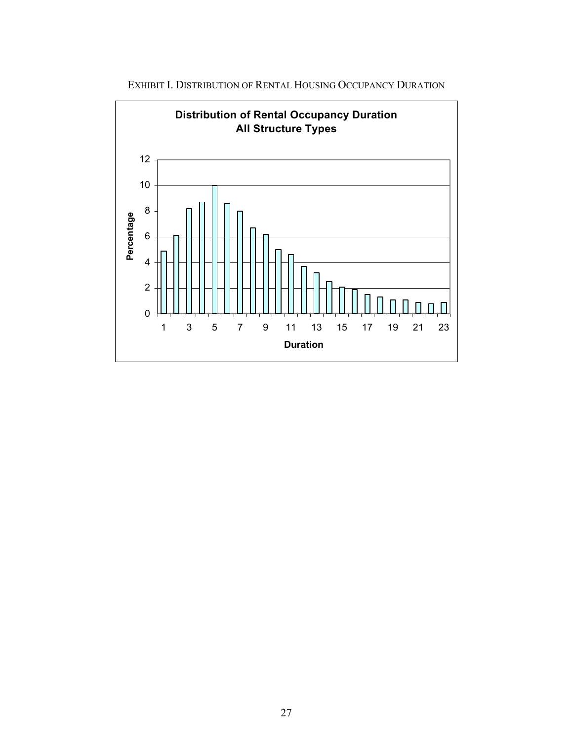

EXHIBIT I. DISTRIBUTION OF RENTAL HOUSING OCCUPANCY DURATION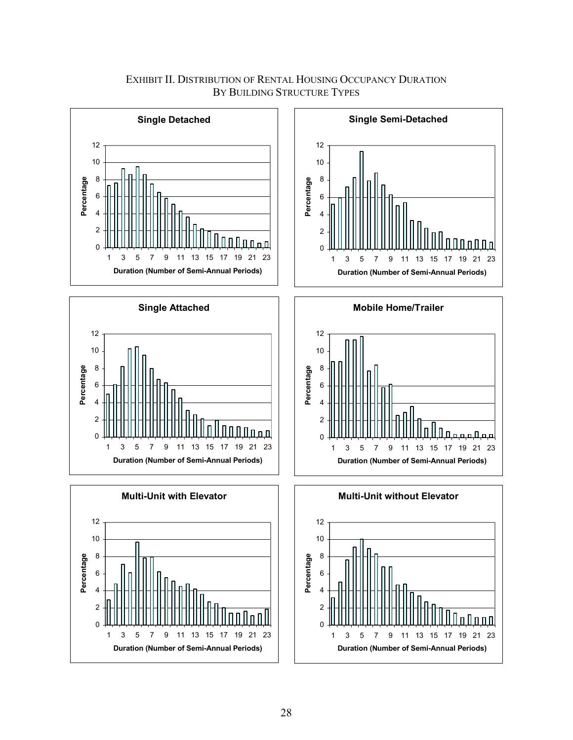

EXHIBIT II. DISTRIBUTION OF RENTAL HOUSING OCCUPANCY DURATION BY BUILDING STRUCTURE TYPES